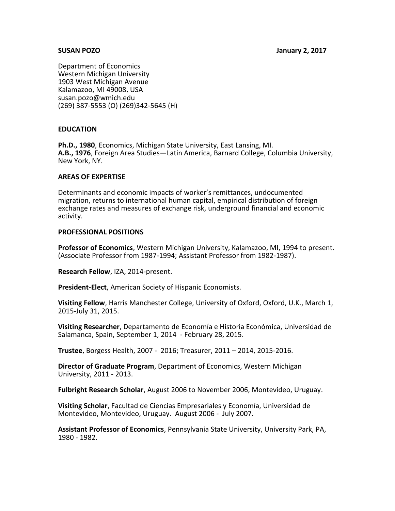#### **SUSAN POZO January 2, 2017**

Department of Economics Western Michigan University 1903 West Michigan Avenue Kalamazoo, MI 49008, USA susan.pozo@wmich.edu (269) 387-5553 (O) (269)342-5645 (H)

## **EDUCATION**

**Ph.D., 1980**, Economics, Michigan State University, East Lansing, MI. **A.B., 1976**, Foreign Area Studies—Latin America, Barnard College, Columbia University, New York, NY.

#### **AREAS OF EXPERTISE**

Determinants and economic impacts of worker's remittances, undocumented migration, returns to international human capital, empirical distribution of foreign exchange rates and measures of exchange risk, underground financial and economic activity.

#### **PROFESSIONAL POSITIONS**

**Professor of Economics**, Western Michigan University, Kalamazoo, MI, 1994 to present. (Associate Professor from 1987-1994; Assistant Professor from 1982-1987).

**Research Fellow**, IZA, 2014-present.

**President-Elect**, American Society of Hispanic Economists.

**Visiting Fellow**, Harris Manchester College, University of Oxford, Oxford, U.K., March 1, 2015-July 31, 2015.

**Visiting Researcher**, Departamento de Economía e Historia Económica, Universidad de Salamanca, Spain, September 1, 2014 - February 28, 2015.

**Trustee**, Borgess Health, 2007 - 2016; Treasurer, 2011 – 2014, 2015-2016.

**Director of Graduate Program**, Department of Economics, Western Michigan University, 2011 - 2013.

**Fulbright Research Scholar**, August 2006 to November 2006, Montevideo, Uruguay.

**Visiting Scholar**, Facultad de Ciencias Empresariales y Economía, Universidad de Montevideo, Montevideo, Uruguay. August 2006 - July 2007.

**Assistant Professor of Economics**, Pennsylvania State University, University Park, PA, 1980 - 1982.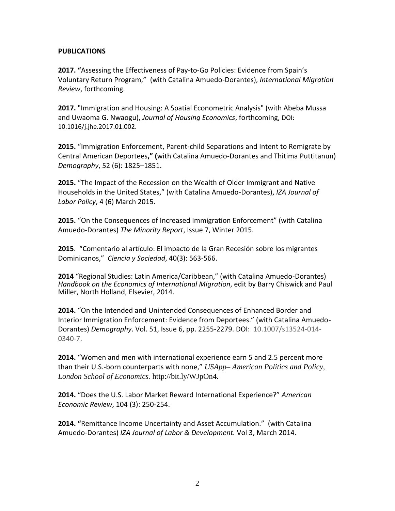# **PUBLICATIONS**

**2017. "**Assessing the Effectiveness of Pay-to-Go Policies: Evidence from Spain's Voluntary Return Program," (with Catalina Amuedo-Dorantes), *International Migration Review*, forthcoming.

**2017.** "Immigration and Housing: A Spatial Econometric Analysis" (with Abeba Mussa and Uwaoma G. Nwaogu), *Journal of Housing Economics*, forthcoming, DOI: 10.1016/j.jhe.2017.01.002.

**2015.** "Immigration Enforcement, Parent-child Separations and Intent to Remigrate by Central American Deportees**," (**with Catalina Amuedo-Dorantes and Thitima Puttitanun) *Demography*, 52 (6): 1825–1851.

**2015.** "The Impact of the Recession on the Wealth of Older Immigrant and Native Households in the United States," (with Catalina Amuedo-Dorantes), *IZA Journal of Labor Policy*, 4 (6) March 2015.

**2015.** "On the Consequences of Increased Immigration Enforcement" (with Catalina Amuedo-Dorantes) *The Minority Report*, Issue 7, Winter 2015.

**2015**. "Comentario al artículo: El impacto de la Gran Recesión sobre los migrantes Dominicanos," *Ciencia y Sociedad*, 40(3): 563-566.

**2014** "Regional Studies: Latin America/Caribbean," (with Catalina Amuedo-Dorantes) *Handbook on the Economics of International Migration*, edit by Barry Chiswick and Paul Miller, North Holland, Elsevier, 2014.

**2014.** "On the Intended and Unintended Consequences of Enhanced Border and Interior Immigration Enforcement: Evidence from Deportees." (with Catalina Amuedo-Dorantes) *Demography*. Vol. 51, Issue 6, pp. 2255-2279. DOI: 10.1007/s13524-014- 0340-7.

**2014.** "Women and men with international experience earn 5 and 2.5 percent more than their U.S.-born counterparts with none," *USApp– American Politics and Policy, London School of Economics.* http://bit.ly/WJpOn4.

**2014.** "Does the U.S. Labor Market Reward International Experience?" *American Economic Review*, 104 (3): 250-254.

**2014. "**Remittance Income Uncertainty and Asset Accumulation." (with Catalina Amuedo-Dorantes) *IZA Journal of Labor & Development.* Vol 3, March 2014.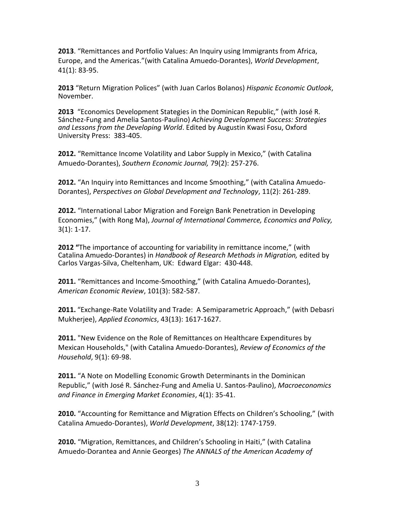**2013**. "Remittances and Portfolio Values: An Inquiry using Immigrants from Africa, Europe, and the Americas."(with Catalina Amuedo-Dorantes), *World Development*, 41(1): 83-95.

**2013** "Return Migration Polices" (with Juan Carlos Bolanos) *Hispanic Economic Outlook*, November.

**2013** "Economics Development Stategies in the Dominican Republic," (with José R. Sánchez-Fung and Amelia Santos-Paulino) *Achieving Development Success: Strategies and Lessons from the Developing World*. Edited by Augustin Kwasi Fosu, Oxford University Press: 383-405.

**2012.** "Remittance Income Volatility and Labor Supply in Mexico," (with Catalina Amuedo-Dorantes), *Southern Economic Journal,* 79(2): 257-276.

**2012.** "An Inquiry into Remittances and Income Smoothing," (with Catalina Amuedo-Dorantes), *Perspectives on Global Development and Technology*, 11(2): 261-289.

**2012.** "International Labor Migration and Foreign Bank Penetration in Developing Economies," (with Rong Ma), *Journal of International Commerce, Economics and Policy,*  3(1): 1-17.

**2012 "**The importance of accounting for variability in remittance income," (with Catalina Amuedo-Dorantes) in *Handbook of Research Methods in Migration,* edited by Carlos Vargas-Silva, Cheltenham, UK: Edward Elgar: 430-448.

**2011.** "Remittances and Income-Smoothing," (with Catalina Amuedo-Dorantes), *American Economic Review*, 101(3): 582-587.

**2011.** "Exchange-Rate Volatility and Trade: A Semiparametric Approach," (with Debasri Mukherjee), *Applied Economics*, 43(13): 1617-1627.

**2011.** "New Evidence on the Role of Remittances on Healthcare Expenditures by Mexican Households," (with Catalina Amuedo-Dorantes), *Review of Economics of the Household*, 9(1): 69-98.

**2011.** "A Note on Modelling Economic Growth Determinants in the Dominican Republic," (with José R. Sánchez-Fung and Amelia U. Santos-Paulino), *Macroeconomics and Finance in Emerging Market Economies*, 4(1): 35-41.

**2010.** "Accounting for Remittance and Migration Effects on Children's Schooling," (with Catalina Amuedo-Dorantes), *World Development*, 38(12): 1747-1759.

**2010.** "Migration, Remittances, and Children's Schooling in Haiti," (with Catalina Amuedo-Dorantea and Annie Georges) *The ANNALS of the American Academy of*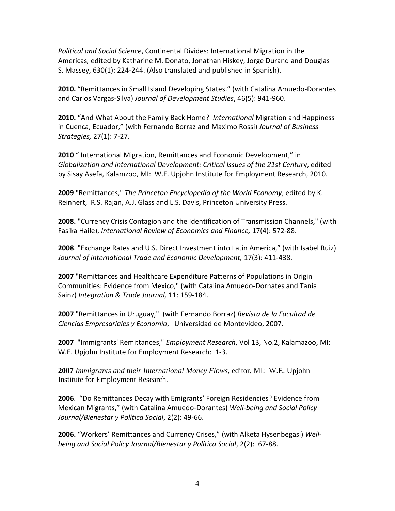*Political and Social Science*, Continental Divides: International Migration in the Americas*,* edited by Katharine M. Donato, Jonathan Hiskey, Jorge Durand and Douglas S. Massey, 630(1): 224-244. (Also translated and published in Spanish).

**2010.** "Remittances in Small Island Developing States." (with Catalina Amuedo-Dorantes and Carlos Vargas-Silva) *Journal of Development Studies*, 46(5): 941-960.

**2010.** "And What About the Family Back Home? *International* Migration and Happiness in Cuenca, Ecuador," (with Fernando Borraz and Maximo Rossi) *Journal of Business Strategies,* 27(1): 7-27.

**2010** " International Migration, Remittances and Economic Development," in *Globalization and International Development: Critical Issues of the 21st Centur*y, edited by Sisay Asefa, Kalamzoo, MI: W.E. Upjohn Institute for Employment Research, 2010.

**2009** "Remittances," *The Princeton Encyclopedia of the World Economy*, edited by K. Reinhert, R.S. Rajan, A.J. Glass and L.S. Davis, Princeton University Press.

**2008.** "Currency Crisis Contagion and the Identification of Transmission Channels," (with Fasika Haile), *International Review of Economics and Finance,* 17(4): 572-88.

**2008**. "Exchange Rates and U.S. Direct Investment into Latin America," (with Isabel Ruiz) *Journal of International Trade and Economic Development,* 17(3): 411-438.

**2007** "Remittances and Healthcare Expenditure Patterns of Populations in Origin Communities: Evidence from Mexico," (with Catalina Amuedo-Dornates and Tania Sainz) *Integration & Trade Journal,* 11: 159-184.

**2007** "Remittances in Uruguay," (with Fernando Borraz) *Revista de la Facultad de Ciencias Empresariales y Economía*, Universidad de Montevideo, 2007.

**2007** "Immigrants' Remittances," *Employment Research*, Vol 13, No.2, Kalamazoo, MI: W.E. Upjohn Institute for Employment Research: 1-3.

**2007** *Immigrants and their International Money Flows*, editor, MI: W.E. Upjohn Institute for Employment Research.

**2006**. "Do Remittances Decay with Emigrants' Foreign Residencies? Evidence from Mexican Migrants," (with Catalina Amuedo-Dorantes) *Well-being and Social Policy Journal/Bienestar y Política Social*, 2(2): 49-66.

**2006.** "Workers' Remittances and Currency Crises," (with Alketa Hysenbegasi) *Wellbeing and Social Policy Journal/Bienestar y Política Social*, 2(2): 67-88.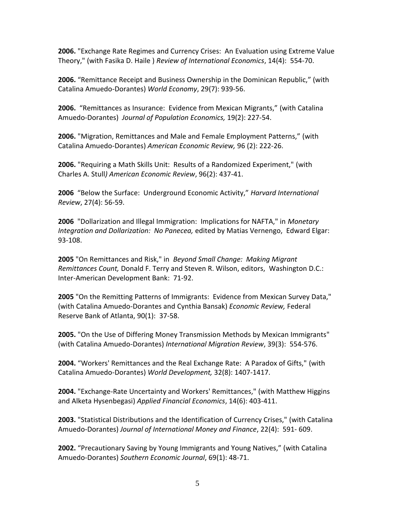**2006.** "Exchange Rate Regimes and Currency Crises: An Evaluation using Extreme Value Theory," (with Fasika D. Haile ) *Review of International Economics*, 14(4): 554-70.

**2006.** "Remittance Receipt and Business Ownership in the Dominican Republic," (with Catalina Amuedo-Dorantes) *World Economy*, 29(7): 939-56.

**2006.** "Remittances as Insurance: Evidence from Mexican Migrants," (with Catalina Amuedo-Dorantes) *Journal of Population Economics,* 19(2): 227-54.

**2006.** "Migration, Remittances and Male and Female Employment Patterns," (with Catalina Amuedo-Dorantes) *American Economic Review,* 96 (2): 222-26.

**2006.** "Requiring a Math Skills Unit: Results of a Randomized Experiment," (with Charles A. Stull*) American Economic Review*, 96(2): 437-41.

**2006** "Below the Surface: Underground Economic Activity," *Harvard International Review*, 27(4): 56-59.

**2006** "Dollarization and Illegal Immigration: Implications for NAFTA," in *Monetary Integration and Dollarization: No Panecea,* edited by Matias Vernengo, Edward Elgar: 93-108.

**2005** "On Remittances and Risk," in *Beyond Small Change: Making Migrant Remittances Count,* Donald F. Terry and Steven R. Wilson, editors, Washington D.C.: Inter-American Development Bank: 71-92.

**2005** "On the Remitting Patterns of Immigrants: Evidence from Mexican Survey Data," (with Catalina Amuedo-Dorantes and Cynthia Bansak) *Economic Review,* Federal Reserve Bank of Atlanta, 90(1): 37-58.

**2005.** "On the Use of Differing Money Transmission Methods by Mexican Immigrants" (with Catalina Amuedo-Dorantes) *International Migration Review*, 39(3): 554-576.

**2004.** "Workers' Remittances and the Real Exchange Rate: A Paradox of Gifts," (with Catalina Amuedo-Dorantes) *World Development,* 32(8): 1407-1417.

**2004.** "Exchange-Rate Uncertainty and Workers' Remittances," (with Matthew Higgins and Alketa Hysenbegasi) *Applied Financial Economics*, 14(6): 403-411.

**2003.** "Statistical Distributions and the Identification of Currency Crises," (with Catalina Amuedo-Dorantes) *Journal of International Money and Finance*, 22(4): 591- 609.

**2002.** "Precautionary Saving by Young Immigrants and Young Natives," (with Catalina Amuedo-Dorantes) *Southern Economic Journal*, 69(1): 48-71.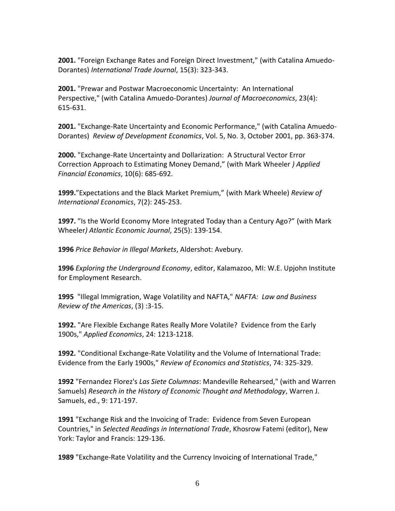**2001.** "Foreign Exchange Rates and Foreign Direct Investment," (with Catalina Amuedo-Dorantes) *International Trade Journal*, 15(3): 323-343.

**2001.** "Prewar and Postwar Macroeconomic Uncertainty: An International Perspective," (with Catalina Amuedo-Dorantes) *Journal of Macroeconomics*, 23(4): 615-631.

**2001.** "Exchange-Rate Uncertainty and Economic Performance," (with Catalina Amuedo-Dorantes) *Review of Development Economics*, Vol. 5, No. 3, October 2001, pp. 363-374.

**2000.** "Exchange-Rate Uncertainty and Dollarization: A Structural Vector Error Correction Approach to Estimating Money Demand," (with Mark Wheeler *) Applied Financial Economics*, 10(6): 685-692.

**1999.**"Expectations and the Black Market Premium," (with Mark Wheele) *Review of International Economics*, 7(2): 245-253.

**1997.** "Is the World Economy More Integrated Today than a Century Ago?" (with Mark Wheeler*) Atlantic Economic Journal*, 25(5): 139-154.

**1996** *Price Behavior in Illegal Markets*, Aldershot: Avebury.

**1996** *Exploring the Underground Economy*, editor, Kalamazoo, MI: W.E. Upjohn Institute for Employment Research.

**1995** "Illegal Immigration, Wage Volatility and NAFTA," *NAFTA: Law and Business Review of the Americas*, (3) :3-15.

**1992.** "Are Flexible Exchange Rates Really More Volatile? Evidence from the Early 1900s," *Applied Economics*, 24: 1213-1218.

**1992.** "Conditional Exchange-Rate Volatility and the Volume of International Trade: Evidence from the Early 1900s," *Review of Economics and Statistics*, 74: 325-329.

**1992** "Fernandez Florez's *Las Siete Columnas*: Mandeville Rehearsed," (with and Warren Samuels) *Research in the History of Economic Thought and Methodology*, Warren J. Samuels, ed., 9: 171-197.

**1991** "Exchange Risk and the Invoicing of Trade: Evidence from Seven European Countries," in *Selected Readings in International Trade*, Khosrow Fatemi (editor), New York: Taylor and Francis: 129-136.

**1989** "Exchange-Rate Volatility and the Currency Invoicing of International Trade,"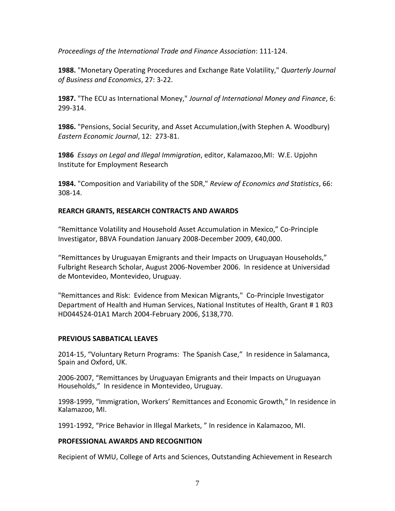*Proceedings of the International Trade and Finance Association*: 111-124.

**1988.** "Monetary Operating Procedures and Exchange Rate Volatility," *Quarterly Journal of Business and Economics*, 27: 3-22.

**1987.** "The ECU as International Money," *Journal of International Money and Finance*, 6: 299-314.

**1986.** "Pensions, Social Security, and Asset Accumulation,(with Stephen A. Woodbury) *Eastern Economic Journal*, 12: 273-81.

**1986** *Essays on Legal and Illegal Immigration*, editor, Kalamazoo,MI: W.E. Upjohn Institute for Employment Research

**1984.** "Composition and Variability of the SDR," *Review of Economics and Statistics*, 66: 308-14.

# **REARCH GRANTS, RESEARCH CONTRACTS AND AWARDS**

"Remittance Volatility and Household Asset Accumulation in Mexico," Co-Principle Investigator, BBVA Foundation January 2008-December 2009, €40,000.

"Remittances by Uruguayan Emigrants and their Impacts on Uruguayan Households," Fulbright Research Scholar, August 2006-November 2006. In residence at Universidad de Montevideo, Montevideo, Uruguay.

"Remittances and Risk: Evidence from Mexican Migrants," Co-Principle Investigator Department of Health and Human Services, National Institutes of Health, Grant # 1 R03 HD044524-01A1 March 2004-February 2006, \$138,770.

## **PREVIOUS SABBATICAL LEAVES**

2014-15, "Voluntary Return Programs: The Spanish Case," In residence in Salamanca, Spain and Oxford, UK.

2006-2007, "Remittances by Uruguayan Emigrants and their Impacts on Uruguayan Households," In residence in Montevideo, Uruguay.

1998-1999, "Immigration, Workers' Remittances and Economic Growth," In residence in Kalamazoo, MI.

1991-1992, "Price Behavior in Illegal Markets, " In residence in Kalamazoo, MI.

## **PROFESSIONAL AWARDS AND RECOGNITION**

Recipient of WMU, College of Arts and Sciences, Outstanding Achievement in Research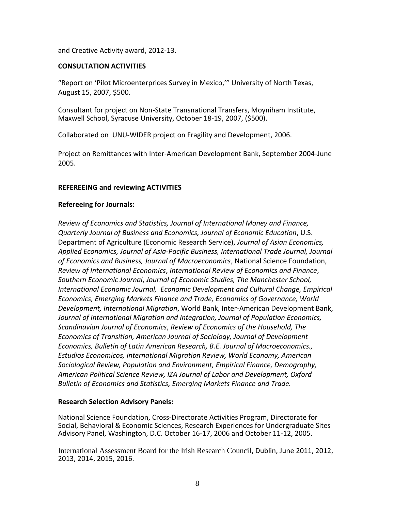and Creative Activity award, 2012-13.

#### **CONSULTATION ACTIVITIES**

"Report on 'Pilot Microenterprices Survey in Mexico,'" University of North Texas, August 15, 2007, \$500.

Consultant for project on Non-State Transnational Transfers, Moyniham Institute, Maxwell School, Syracuse University, October 18-19, 2007, (\$500).

Collaborated on UNU-WIDER project on Fragility and Development, 2006.

Project on Remittances with Inter-American Development Bank, September 2004-June 2005.

## **REFEREEING and reviewing ACTIVITIES**

## **Refereeing for Journals:**

*Review of Economics and Statistics, Journal of International Money and Finance, Quarterly Journal of Business and Economics, Journal of Economic Education*, U.S. Department of Agriculture (Economic Research Service), *Journal of Asian Economics, Applied Economics, Journal of Asia-Pacific Business, International Trade Journal, Journal of Economics and Business, Journal of Macroeconomics*, National Science Foundation, *Review of International Economics*, *International Review of Economics and Finance*, *Southern Economic Journal*, *Journal of Economic Studies, The Manchester School, International Economic Journal, Economic Development and Cultural Change, Empirical Economics, Emerging Markets Finance and Trade, Economics of Governance, World Development, International Migration*, World Bank, Inter-American Development Bank, *Journal of International Migration and Integration, Journal of Population Economics, Scandinavian Journal of Economics*, *Review of Economics of the Household, The Economics of Transition, American Journal of Sociology, Journal of Development Economics, Bulletin of Latin American Research, B.E. Journal of Macroeconomics., Estudios Economicos, International Migration Review, World Economy, American Sociological Review, Population and Environment, Empirical Finance, Demography, American Political Science Review, IZA Journal of Labor and Development, Oxford Bulletin of Economics and Statistics, Emerging Markets Finance and Trade.*

## **Research Selection Advisory Panels:**

National Science Foundation, Cross-Directorate Activities Program, Directorate for Social, Behavioral & Economic Sciences, Research Experiences for Undergraduate Sites Advisory Panel, Washington, D.C. October 16-17, 2006 and October 11-12, 2005.

International Assessment Board for the Irish Research Council, Dublin, June 2011, 2012, 2013, 2014, 2015, 2016.